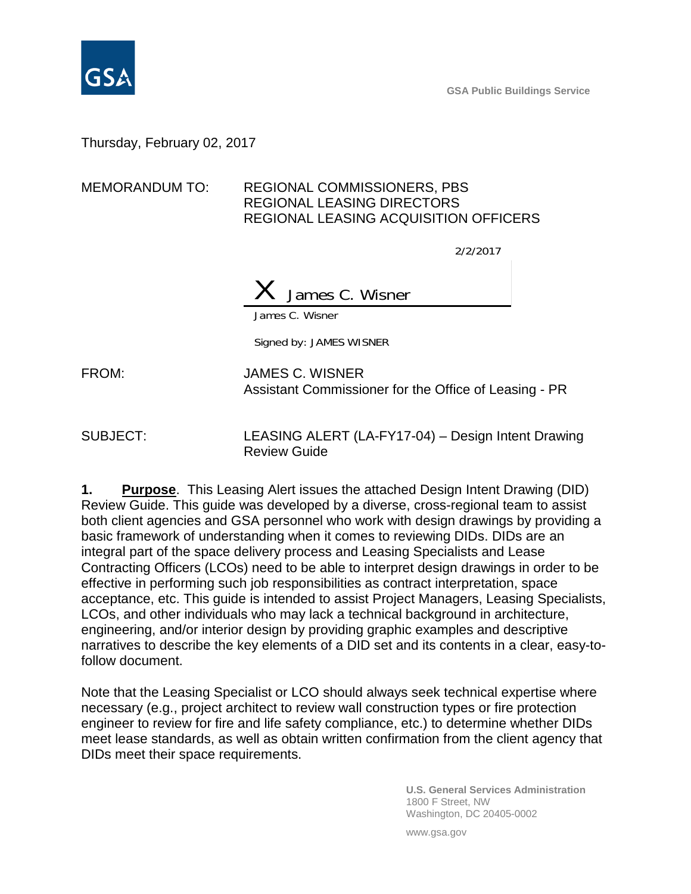

**GSA Public Buildings Service**

Thursday, February 02, 2017

## MEMORANDUM TO: REGIONAL COMMISSIONERS, PBS REGIONAL LEASING DIRECTORS REGIONAL LEASING ACQUISITION OFFICERS

2/2/2017

James C. Wisner

James C. Wisner

Signed by: JAMES WISNER

FROM: JAMES C. WISNER Assistant Commissioner for the Office of Leasing - PR

SUBJECT: LEASING ALERT (LA-FY17-04) – Design Intent Drawing Review Guide

**1. Purpose**. This Leasing Alert issues the attached Design Intent Drawing (DID) Review Guide. This guide was developed by a diverse, cross-regional team to assist both client agencies and GSA personnel who work with design drawings by providing a basic framework of understanding when it comes to reviewing DIDs. DIDs are an integral part of the space delivery process and Leasing Specialists and Lease Contracting Officers (LCOs) need to be able to interpret design drawings in order to be effective in performing such job responsibilities as contract interpretation, space acceptance, etc. This guide is intended to assist Project Managers, Leasing Specialists, LCOs, and other individuals who may lack a technical background in architecture, engineering, and/or interior design by providing graphic examples and descriptive narratives to describe the key elements of a DID set and its contents in a clear, easy-tofollow document.

Note that the Leasing Specialist or LCO should always seek technical expertise where necessary (e.g., project architect to review wall construction types or fire protection engineer to review for fire and life safety compliance, etc.) to determine whether DIDs meet lease standards, as well as obtain written confirmation from the client agency that DIDs meet their space requirements.

> **U.S. General Services Administration** 1800 F Street, NW Washington, DC 20405-0002

www.gsa.gov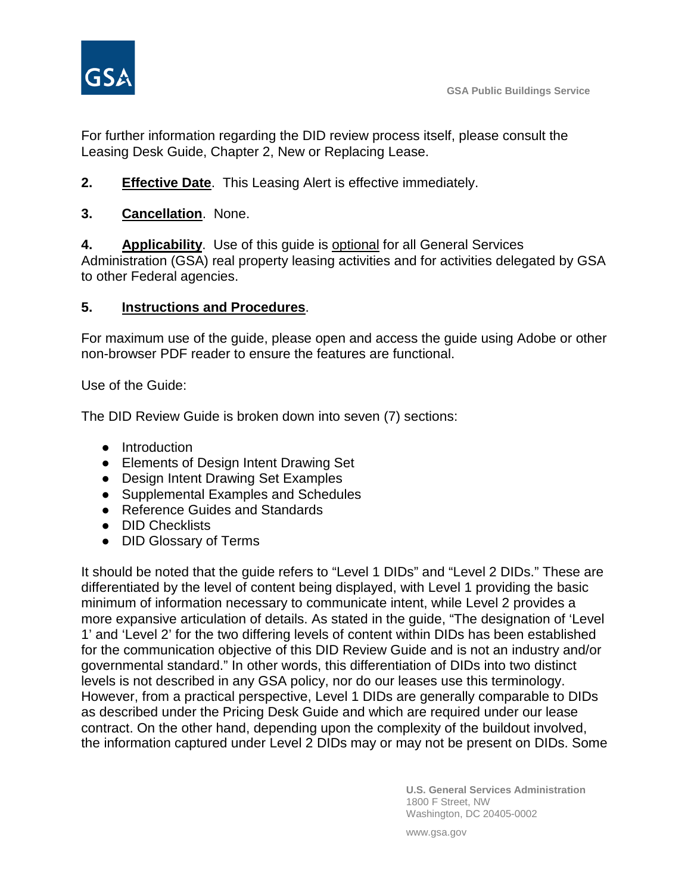

For further information regarding the DID review process itself, please consult the Leasing Desk Guide, Chapter 2, New or Replacing Lease.

- **2. Effective Date**. This Leasing Alert is effective immediately.
- **3. Cancellation**. None.

**4. Applicability**. Use of this guide is optional for all General Services Administration (GSA) real property leasing activities and for activities delegated by GSA to other Federal agencies.

## **5. Instructions and Procedures**.

For maximum use of the guide, please open and access the guide using Adobe or other non-browser PDF reader to ensure the features are functional.

Use of the Guide:

The DID Review Guide is broken down into seven (7) sections:

- Introduction
- Elements of Design Intent Drawing Set
- Design Intent Drawing Set Examples
- Supplemental Examples and Schedules
- Reference Guides and Standards
- **DID Checklists**
- DID Glossary of Terms

It should be noted that the guide refers to "Level 1 DIDs" and "Level 2 DIDs." These are differentiated by the level of content being displayed, with Level 1 providing the basic minimum of information necessary to communicate intent, while Level 2 provides a more expansive articulation of details. As stated in the guide, "The designation of 'Level 1' and 'Level 2' for the two differing levels of content within DIDs has been established for the communication objective of this DID Review Guide and is not an industry and/or governmental standard." In other words, this differentiation of DIDs into two distinct levels is not described in any GSA policy, nor do our leases use this terminology. However, from a practical perspective, Level 1 DIDs are generally comparable to DIDs as described under the Pricing Desk Guide and which are required under our lease contract. On the other hand, depending upon the complexity of the buildout involved, the information captured under Level 2 DIDs may or may not be present on DIDs. Some

> **U.S. General Services Administration** 1800 F Street, NW Washington, DC 20405-0002

www.gsa.gov